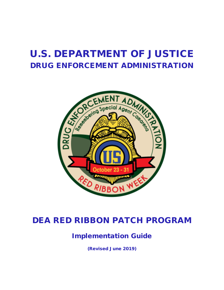# U.S. DEPARTMENT OF JUSTICE DRUG ENFORCEMENT ADMINISTRATION



## DEA RED RIBBON PATCH PROGRAM

## Implementation Guide

(Revised June 2019)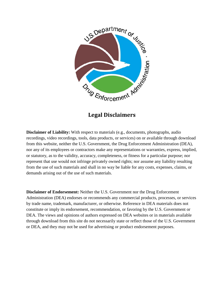

**Legal Disclaimers**

**Disclaimer of Liability:** With respect to materials (e.g., documents, photographs, audio recordings, video recordings, tools, data products, or services) on or available through download from this website, neither the U.S. Government, the Drug Enforcement Administration (DEA), nor any of its employees or contractors make any representations or warranties, express, implied, or statutory, as to the validity, accuracy, completeness, or fitness for a particular purpose; nor represent that use would not infringe privately owned rights; nor assume any liability resulting from the use of such materials and shall in no way be liable for any costs, expenses, claims, or demands arising out of the use of such materials.

**Disclaimer of Endorsement:** Neither the U.S. Government nor the Drug Enforcement Administration (DEA) endorses or recommends any commercial products, processes, or services by trade name, trademark, manufacturer, or otherwise. Reference in DEA materials does not constitute or imply its endorsement, recommendation, or favoring by the U.S. Government or DEA. The views and opinions of authors expressed on DEA websites or in materials available through download from this site do not necessarily state or reflect those of the U.S. Government or DEA, and they may not be used for advertising or product endorsement purposes.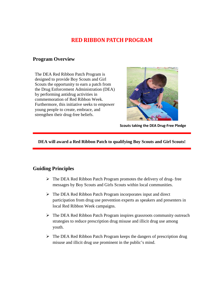## **RED RIBBON PATCH PROGRAM**

#### **Program Overview**

The DEA Red Ribbon Patch Program is designed to provide Boy Scouts and Girl Scouts the opportunity to earn a patch from the Drug Enforcement Administration (DEA) by performing antidrug activities in commemoration of Red Ribbon Week. Furthermore, this initiative seeks to empower young people to create, embrace, and strengthen their drug-free beliefs.



**Scouts taking the DEA Drug-Free Pledge**

**DEA will award a Red Ribbon Patch to qualifying Boy Scouts and Girl Scouts!**

#### **Guiding Principles**

- $\triangleright$  The DEA Red Ribbon Patch Program promotes the delivery of drug-free messages by Boy Scouts and Girls Scouts within local communities.
- $\triangleright$  The DEA Red Ribbon Patch Program incorporates input and direct participation from drug use prevention experts as speakers and presenters in local Red Ribbon Week campaigns.
- $\triangleright$  The DEA Red Ribbon Patch Program inspires grassroots community outreach strategies to reduce prescription drug misuse and illicit drug use among youth.
- $\triangleright$  The DEA Red Ribbon Patch Program keeps the dangers of prescription drug misuse and illicit drug use prominent in the public's mind.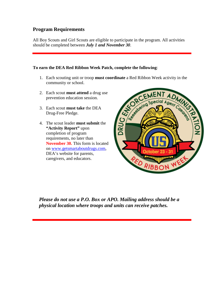### **Program Requirements**

All Boy Scouts and Girl Scouts are eligible to participate in the program. All activities should be completed between *July 1 and November 30*.

#### **To earn the DEA Red Ribbon Week Patch, complete the following**:

- community or school.
- 2. Each scout **must attend** a drug use prevention education session.
- 3. Each scout **must take** the DEA Drug-Free Pledge.
- 4. The scout leader **must submit** the **"Activity Report"** upon completion of program requirements, no later than **November 30.** This form is located on [www.getsmartaboutdrugs.com,](http://www.getsmartaboutdrugs.com/) DEA's website for parents, caregivers, and educators.



*Please do not use a P.O. Box or APO. Mailing address should be a physical location where troops and units can receive patches.*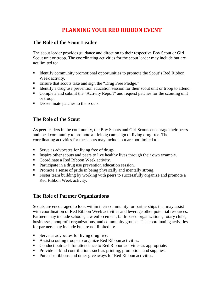## **PLANNING YOUR RED RIBBON EVENT**

#### **The Role of the Scout Leader**

The scout leader provides guidance and direction to their respective Boy Scout or Girl Scout unit or troop. The coordinating activities for the scout leader may include but are not limited to:

- Identify community promotional opportunities to promote the Scout's Red Ribbon Week activity.
- Ensure that scouts take and sign the "Drug Free Pledge."
- Identify a drug use prevention education session for their scout unit or troop to attend.
- Complete and submit the "Activity Report" and request patches for the scouting unit or troop.
- Disseminate patches to the scouts.

## **The Role of the Scout**

As peer leaders in the community, the Boy Scouts and Girl Scouts encourage their peers and local community to promote a lifelong campaign of living drug free. The coordinating activities for the scouts may include but are not limited to:

- Serve as advocates for living free of drugs.
- Inspire other scouts and peers to live healthy lives through their own example.
- Coordinate a Red Ribbon Week activity.
- Participate in a drug use prevention education session.
- Promote a sense of pride in being physically and mentally strong.
- Foster team building by working with peers to successfully organize and promote a Red Ribbon Week activity.

## **The Role of Partner Organizations**

Scouts are encouraged to look within their community for partnerships that may assist with coordination of Red Ribbon Week activities and leverage other potential resources. Partners may include schools, law enforcement, faith-based organizations, rotary clubs, businesses, nonprofit organizations, and community groups. The coordinating activities for partners may include but are not limited to:

- Serve as advocates for living drug free.
- Assist scouting troops to organize Red Ribbon activities.
- Conduct outreach for attendance to Red Ribbon activities as appropriate.
- Provide in-kind contributions such as printing, promotion, and supplies.
- **Purchase ribbons and other giveaways for Red Ribbon activities.**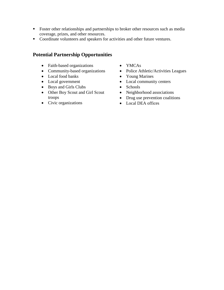- **Foster other relationships and partnerships to broker other resources such as media** coverage, prizes, and other resources.
- Coordinate volunteers and speakers for activities and other future ventures.

### **Potential Partnership Opportunities**

- Faith-based organizations
- Community-based organizations
- Local food banks
- Local government
- Boys and Girls Clubs
- Other Boy Scout and Girl Scout troops
- Civic organizations
- YMCAs
- Police Athletic/Activities Leagues
- Young Marines
- Local community centers
- Schools
- Neighborhood associations
- Drug use prevention coalitions
- Local DEA offices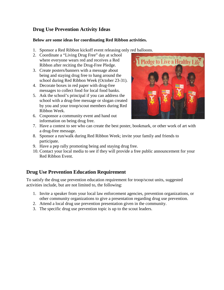## **Drug Use Prevention Activity Ideas**

#### **Below are some ideas for coordinating Red Ribbon activities.**

- 1. Sponsor a Red Ribbon kickoff event releasing only red balloons.
- 2. Coordinate a "Living Drug Free" day at school where everyone wears red and receives a Red Ribbon after reciting the Drug-Free Pledge.
- 3. Create posters/banners with a message about being and staying drug free to hang around the school during Red Ribbon Week (October 23-31).
- 4. Decorate boxes in red paper with drug-free messages to collect food for local food banks.
- 5. Ask the school's principal if you can address the school with a drug-free message or slogan created by you and your troop/scout members during Red Ribbon Week.
- 6. Cosponsor a community event and hand out information on being drug free.



- 7. Have a contest to see who can create the best poster, bookmark, or other work of art with a drug-free message.
- 8. Sponsor a run/walk during Red Ribbon Week; invite your family and friends to participate.
- 9. Have a pep rally promoting being and staying drug free.
- 10. Contact your local media to see if they will provide a free public announcement for your Red Ribbon Event.

## **Drug Use Prevention Education Requirement**

To satisfy the drug use prevention education requirement for troop/scout units, suggested activities include, but are not limited to, the following:

- 1. Invite a speaker from your local law enforcement agencies, prevention organizations, or other community organizations to give a presentation regarding drug use prevention.
- 2. Attend a local drug use prevention presentation given in the community.
- 3. The specific drug use prevention topic is up to the scout leaders.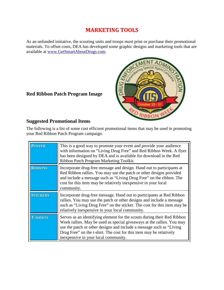## **MARKETING TOOLS**

As an unfunded initiative, the scouting units and troops must print or purchase their promotional materials. To offset costs, DEA has developed some graphic designs and marketing tools that are available at [www.GetSmartAboutDrugs.com.](http://www.getsmartaboutdrugs.com/)



## **Red Ribbon Patch Program Image**

### **Suggested Promotional Items**

The following is a list of some cost efficient promotional items that may be used in promoting your Red Ribbon Patch Program campaign.

| <b>POSTER</b>   | This is a good way to promote your event and provide your audience<br>with information on "Living Drug Free" and Red Ribbon Week. A flyer<br>has been designed by DEA and is available for download in the Red<br>Ribbon Patch Program Marketing Toolkit.                                                                                |
|-----------------|------------------------------------------------------------------------------------------------------------------------------------------------------------------------------------------------------------------------------------------------------------------------------------------------------------------------------------------|
| <b>RIBBONS</b>  | Incorporate drug-free message and design. Hand out to participants at<br>Red Ribbon rallies. You may use the patch or other designs provided<br>and include a message such as "Living Drug Free" on the ribbon. The<br>cost for this item may be relatively inexpensive in your local<br>community.                                      |
| <b>STICKERS</b> | Incorporate drug-free message. Hand out to participants at Red Ribbon<br>rallies. You may use the patch or other designs and include a message<br>such as "Living Drug Free" on the sticker. The cost for this item may be<br>relatively inexpensive in your local community.                                                            |
| <b>T-SHIRTS</b> | Serves as an identifying element for the scouts during their Red Ribbon<br>Week rallies. May be used as special giveaways at the rallies. You may<br>use the patch or other designs and include a message such as "Living<br>Drug Free" on the t-shirt. The cost for this item may be relatively<br>inexpensive in your local community. |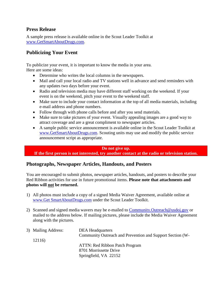#### **Press Release**

A sample press release is available online in the Scout Leader Toolkit at [www.GetSmartAboutDrugs.com.](http://www.getsmartaboutdrugs.com/)

### **Publicizing Your Event**

To publicize your event, it is important to know the media in your area. Here are some ideas:

- Determine who writes the local columns in the newspapers.
- Mail and call your local radio and TV stations well in advance and send reminders with any updates two days before your event.
- Radio and television media may have different staff working on the weekend. If your event is on the weekend, pitch your event to the weekend staff.
- Make sure to include your contact information at the top of all media materials, including e-mail address and phone numbers.
- Follow through with phone calls before and after you send materials.
- Make sure to take pictures of your event. Visually appealing images are a good way to attract coverage and are a great compliment to newspaper articles.
- A sample public service announcement is available online in the Scout Leader Toolkit at [www.GetSmartAboutDrugs.com.](http://www.getsmartaboutdrugs.com/) Scouting units may use and modify the public service announcement script as appropriate.

#### **Do not give up.**

**If the first person is not interested, try another contact at the radio or television station.**

#### **Photographs, Newspaper Articles, Handouts, and Posters**

You are encouraged to submit photos, newspaper articles, handouts, and posters to describe your Red Ribbon activities for use in future promotional items. **Please note that attachments and photos will not be returned.**

- 1) All photos must include a copy of a signed Media Waiver Agreement, available online at www.Get SmartAboutDrugs.com under the Scout Leader Toolkit.
- 2) Scanned and signed media wavers may be e-mailed to [Community.Outreach@usdoj.gov](mailto:Community.Outreach@usdoj.gov) or mailed to the address below. If mailing pictures, please include the Media Waiver Agreement along with the pictures.

| 3) Mailing Address: | <b>DEA</b> Headquarters                                   |
|---------------------|-----------------------------------------------------------|
|                     | Community Outreach and Prevention and Support Section (W- |
| 12116)              |                                                           |
|                     | <b>ATTN: Red Ribbon Patch Program</b>                     |
|                     | 8701 Morrissette Drive                                    |
|                     | Springfield, VA 22152                                     |